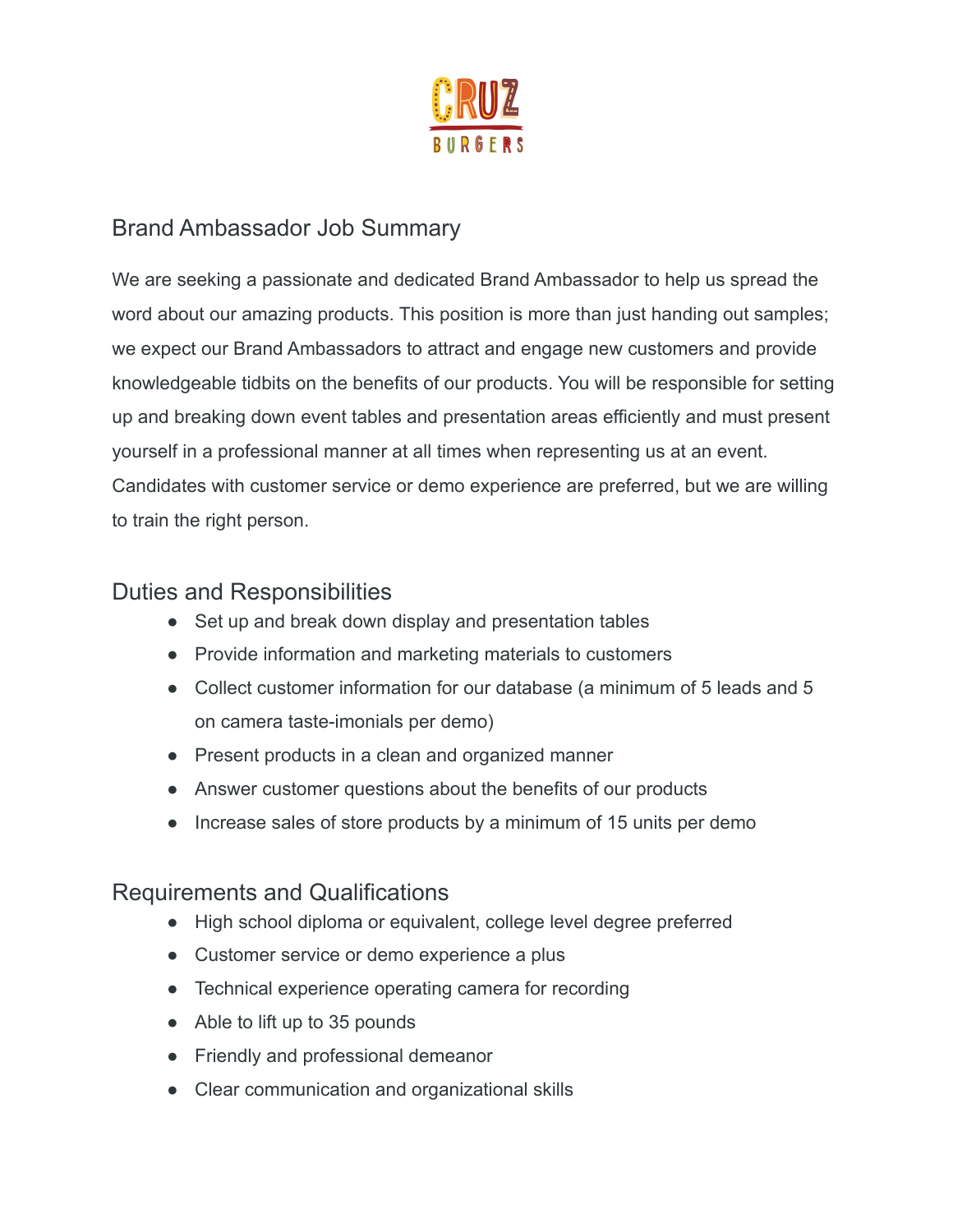

## Brand Ambassador Job Summary

We are seeking a passionate and dedicated Brand Ambassador to help us spread the word about our amazing products. This position is more than just handing out samples; we expect our Brand Ambassadors to attract and engage new customers and provide knowledgeable tidbits on the benefits of our products. You will be responsible for setting up and breaking down event tables and presentation areas efficiently and must present yourself in a professional manner at all times when representing us at an event. Candidates with customer service or demo experience are preferred, but we are willing to train the right person.

## Duties and Responsibilities

- Set up and break down display and presentation tables
- Provide information and marketing materials to customers
- Collect customer information for our database (a minimum of 5 leads and 5 on camera taste-imonials per demo)
- Present products in a clean and organized manner
- Answer customer questions about the benefits of our products
- Increase sales of store products by a minimum of 15 units per demo

## Requirements and Qualifications

- High school diploma or equivalent, college level degree preferred
- Customer service or demo experience a plus
- Technical experience operating camera for recording
- Able to lift up to 35 pounds
- Friendly and professional demeanor
- Clear communication and organizational skills